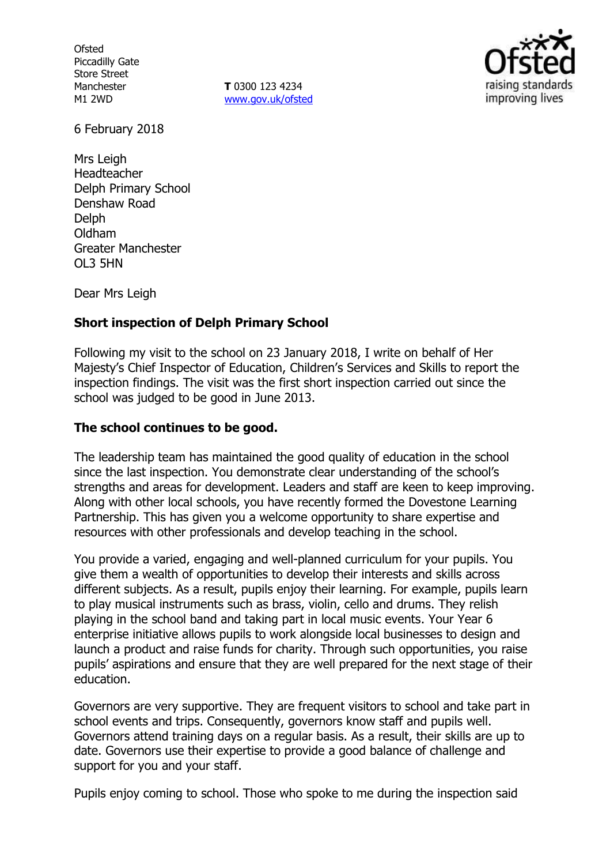**Ofsted** Piccadilly Gate Store Street Manchester M1 2WD

**T** 0300 123 4234 www.gov.uk/ofsted



6 February 2018

Mrs Leigh Headteacher Delph Primary School Denshaw Road **Delph** Oldham Greater Manchester OL3 5HN

Dear Mrs Leigh

# **Short inspection of Delph Primary School**

Following my visit to the school on 23 January 2018, I write on behalf of Her Majesty's Chief Inspector of Education, Children's Services and Skills to report the inspection findings. The visit was the first short inspection carried out since the school was judged to be good in June 2013.

## **The school continues to be good.**

The leadership team has maintained the good quality of education in the school since the last inspection. You demonstrate clear understanding of the school's strengths and areas for development. Leaders and staff are keen to keep improving. Along with other local schools, you have recently formed the Dovestone Learning Partnership. This has given you a welcome opportunity to share expertise and resources with other professionals and develop teaching in the school.

You provide a varied, engaging and well-planned curriculum for your pupils. You give them a wealth of opportunities to develop their interests and skills across different subjects. As a result, pupils enjoy their learning. For example, pupils learn to play musical instruments such as brass, violin, cello and drums. They relish playing in the school band and taking part in local music events. Your Year 6 enterprise initiative allows pupils to work alongside local businesses to design and launch a product and raise funds for charity. Through such opportunities, you raise pupils' aspirations and ensure that they are well prepared for the next stage of their education.

Governors are very supportive. They are frequent visitors to school and take part in school events and trips. Consequently, governors know staff and pupils well. Governors attend training days on a regular basis. As a result, their skills are up to date. Governors use their expertise to provide a good balance of challenge and support for you and your staff.

Pupils enjoy coming to school. Those who spoke to me during the inspection said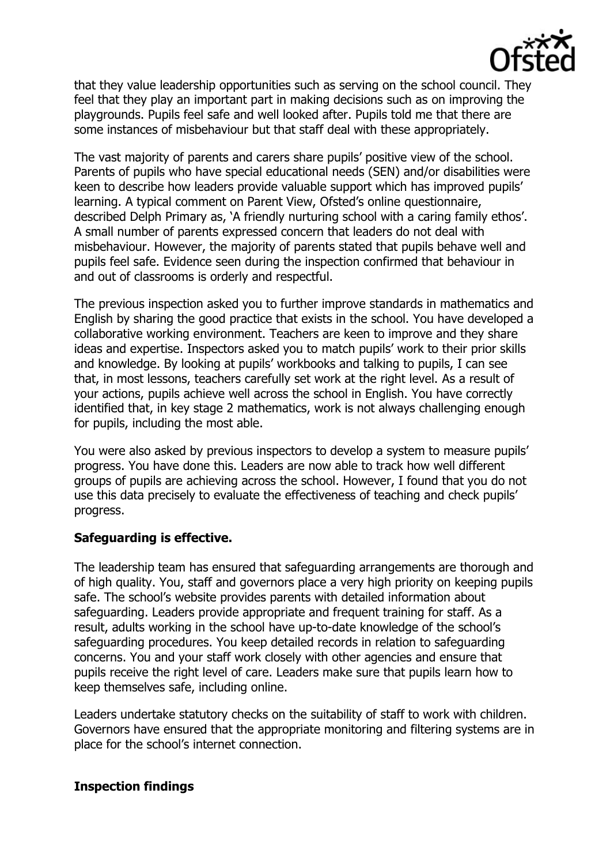

that they value leadership opportunities such as serving on the school council. They feel that they play an important part in making decisions such as on improving the playgrounds. Pupils feel safe and well looked after. Pupils told me that there are some instances of misbehaviour but that staff deal with these appropriately.

The vast majority of parents and carers share pupils' positive view of the school. Parents of pupils who have special educational needs (SEN) and/or disabilities were keen to describe how leaders provide valuable support which has improved pupils' learning. A typical comment on Parent View, Ofsted's online questionnaire, described Delph Primary as, 'A friendly nurturing school with a caring family ethos'. A small number of parents expressed concern that leaders do not deal with misbehaviour. However, the majority of parents stated that pupils behave well and pupils feel safe. Evidence seen during the inspection confirmed that behaviour in and out of classrooms is orderly and respectful.

The previous inspection asked you to further improve standards in mathematics and English by sharing the good practice that exists in the school. You have developed a collaborative working environment. Teachers are keen to improve and they share ideas and expertise. Inspectors asked you to match pupils' work to their prior skills and knowledge. By looking at pupils' workbooks and talking to pupils, I can see that, in most lessons, teachers carefully set work at the right level. As a result of your actions, pupils achieve well across the school in English. You have correctly identified that, in key stage 2 mathematics, work is not always challenging enough for pupils, including the most able.

You were also asked by previous inspectors to develop a system to measure pupils' progress. You have done this. Leaders are now able to track how well different groups of pupils are achieving across the school. However, I found that you do not use this data precisely to evaluate the effectiveness of teaching and check pupils' progress.

## **Safeguarding is effective.**

The leadership team has ensured that safeguarding arrangements are thorough and of high quality. You, staff and governors place a very high priority on keeping pupils safe. The school's website provides parents with detailed information about safeguarding. Leaders provide appropriate and frequent training for staff. As a result, adults working in the school have up-to-date knowledge of the school's safeguarding procedures. You keep detailed records in relation to safeguarding concerns. You and your staff work closely with other agencies and ensure that pupils receive the right level of care. Leaders make sure that pupils learn how to keep themselves safe, including online.

Leaders undertake statutory checks on the suitability of staff to work with children. Governors have ensured that the appropriate monitoring and filtering systems are in place for the school's internet connection.

## **Inspection findings**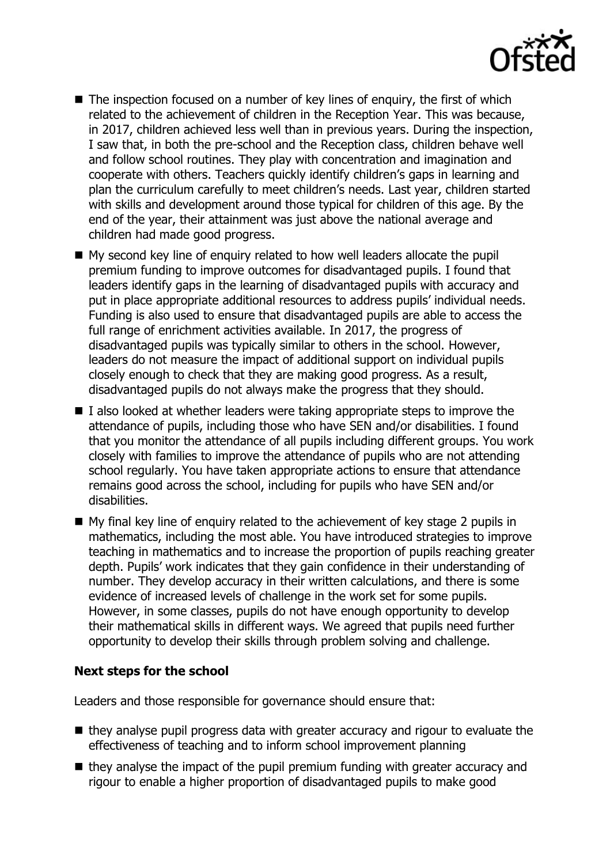

- The inspection focused on a number of key lines of enquiry, the first of which related to the achievement of children in the Reception Year. This was because, in 2017, children achieved less well than in previous years. During the inspection, I saw that, in both the pre-school and the Reception class, children behave well and follow school routines. They play with concentration and imagination and cooperate with others. Teachers quickly identify children's gaps in learning and plan the curriculum carefully to meet children's needs. Last year, children started with skills and development around those typical for children of this age. By the end of the year, their attainment was just above the national average and children had made good progress.
- My second key line of enquiry related to how well leaders allocate the pupil premium funding to improve outcomes for disadvantaged pupils. I found that leaders identify gaps in the learning of disadvantaged pupils with accuracy and put in place appropriate additional resources to address pupils' individual needs. Funding is also used to ensure that disadvantaged pupils are able to access the full range of enrichment activities available. In 2017, the progress of disadvantaged pupils was typically similar to others in the school. However, leaders do not measure the impact of additional support on individual pupils closely enough to check that they are making good progress. As a result, disadvantaged pupils do not always make the progress that they should.
- $\blacksquare$  I also looked at whether leaders were taking appropriate steps to improve the attendance of pupils, including those who have SEN and/or disabilities. I found that you monitor the attendance of all pupils including different groups. You work closely with families to improve the attendance of pupils who are not attending school regularly. You have taken appropriate actions to ensure that attendance remains good across the school, including for pupils who have SEN and/or disabilities.
- $\blacksquare$  My final key line of enguiry related to the achievement of key stage 2 pupils in mathematics, including the most able. You have introduced strategies to improve teaching in mathematics and to increase the proportion of pupils reaching greater depth. Pupils' work indicates that they gain confidence in their understanding of number. They develop accuracy in their written calculations, and there is some evidence of increased levels of challenge in the work set for some pupils. However, in some classes, pupils do not have enough opportunity to develop their mathematical skills in different ways. We agreed that pupils need further opportunity to develop their skills through problem solving and challenge.

## **Next steps for the school**

Leaders and those responsible for governance should ensure that:

- $\blacksquare$  they analyse pupil progress data with greater accuracy and rigour to evaluate the effectiveness of teaching and to inform school improvement planning
- $\blacksquare$  they analyse the impact of the pupil premium funding with greater accuracy and rigour to enable a higher proportion of disadvantaged pupils to make good